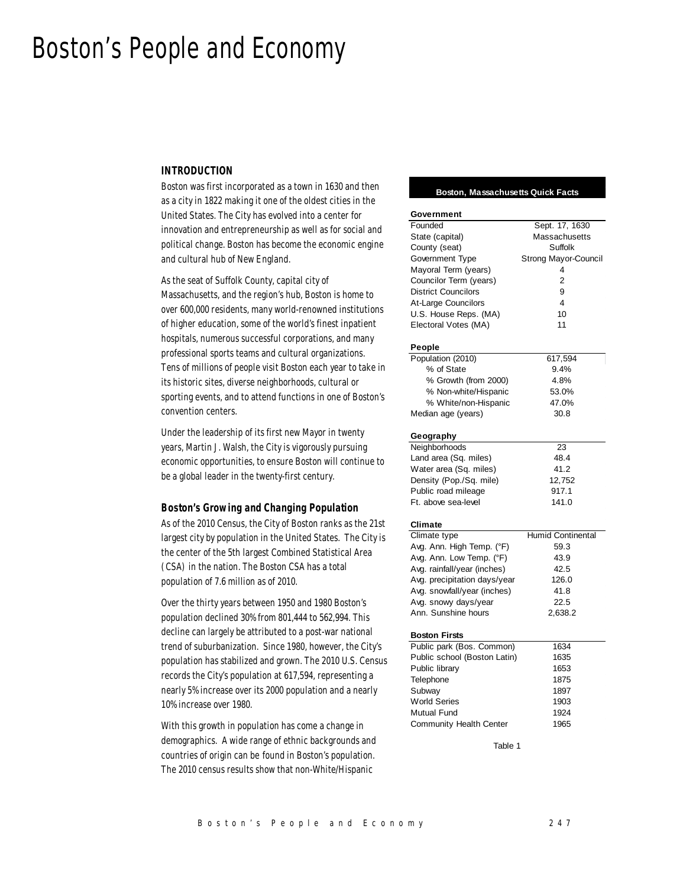# Boston's People and Economy

#### *INTRODUCTION*

Boston was first incorporated as a town in 1630 and then as a city in 1822 making it one of the oldest cities in the United States. The City has evolved into a center for innovation and entrepreneurship as well as for social and political change. Boston has become the economic engine and cultural hub of New England.

As the seat of Suffolk County, capital city of Massachusetts, and the region's hub, Boston is home to over 600,000 residents, many world-renowned institutions of higher education, some of the world's finest inpatient hospitals, numerous successful corporations, and many professional sports teams and cultural organizations. Tens of millions of people visit Boston each year to take in its historic sites, diverse neighborhoods, cultural or sporting events, and to attend functions in one of Boston's convention centers.

Under the leadership of its first new Mayor in twenty years, Martin J. Walsh, the City is vigorously pursuing economic opportunities, to ensure Boston will continue to be a global leader in the twenty-first century.

#### *Boston's Growing and Changing Population*

As of the 2010 Census, the City of Boston ranks as the 21st largest city by population in the United States. The City is the center of the 5th largest Combined Statistical Area (CSA) in the nation. The Boston CSA has a total population of 7.6 million as of 2010.

Over the thirty years between 1950 and 1980 Boston's population declined 30% from 801,444 to 562,994. This decline can largely be attributed to a post-war national trend of suburbanization. Since 1980, however, the City's population has stabilized and grown. The 2010 U.S. Census records the City's population at 617,594, representing a nearly 5% increase over its 2000 population and a nearly 10% increase over 1980.

With this growth in population has come a change in demographics. A wide range of ethnic backgrounds and countries of origin can be found in Boston's population. The 2010 census results show that non-White/Hispanic

#### **Boston, Massachusetts Quick Facts**

| Government                   |                      |  |  |  |
|------------------------------|----------------------|--|--|--|
| Founded                      | Sept. 17, 1630       |  |  |  |
| State (capital)              | Massachusetts        |  |  |  |
| County (seat)                | Suffolk              |  |  |  |
| Government Type              | Strong Mayor-Council |  |  |  |
| Mayoral Term (years)         | 4                    |  |  |  |
| Councilor Term (years)       | $\overline{2}$       |  |  |  |
| <b>District Councilors</b>   | 9                    |  |  |  |
| At-Large Councilors          | 4                    |  |  |  |
| U.S. House Reps. (MA)        | 10                   |  |  |  |
|                              | 11                   |  |  |  |
| Electoral Votes (MA)         |                      |  |  |  |
| People                       |                      |  |  |  |
| Population (2010)            | 617,594              |  |  |  |
| % of State                   | 9.4%                 |  |  |  |
| % Growth (from 2000)         | 4.8%                 |  |  |  |
| % Non-white/Hispanic         | 53.0%                |  |  |  |
| % White/non-Hispanic         | 47.0%                |  |  |  |
| Median age (years)           | 30.8                 |  |  |  |
|                              |                      |  |  |  |
| Geography                    |                      |  |  |  |
| Neighborhoods                | 23                   |  |  |  |
| Land area (Sq. miles)        | 48.4                 |  |  |  |
| Water area (Sq. miles)       | 41.2                 |  |  |  |
| Density (Pop./Sq. mile)      | 12,752               |  |  |  |
| Public road mileage          | 917.1                |  |  |  |
| Ft. above sea-level          | 141.0                |  |  |  |
| Climate                      |                      |  |  |  |
| Climate type                 | Humid Continental    |  |  |  |
| Avg. Ann. High Temp. (°F)    | 59.3                 |  |  |  |
| Avg. Ann. Low Temp. (°F)     | 43.9                 |  |  |  |
| Avg. rainfall/year (inches)  | 42.5                 |  |  |  |
|                              |                      |  |  |  |
| Avg. precipitation days/year | 126.0                |  |  |  |
| Avg. snowfall/year (inches)  | 41.8                 |  |  |  |
| Avg. snowy days/year         | 22.5                 |  |  |  |
| Ann. Sunshine hours          | 2,638.2              |  |  |  |
| <b>Boston Firsts</b>         |                      |  |  |  |
| Public park (Bos. Common)    | 1634                 |  |  |  |
| Public school (Boston Latin) | 1635                 |  |  |  |
| Public library               | 1653                 |  |  |  |
| Telephone                    | 1875                 |  |  |  |
| Subway                       | 1897                 |  |  |  |
| <b>World Series</b>          | 1903                 |  |  |  |
| Mutual Fund                  | 1924                 |  |  |  |
| Community Health Center      | 1965                 |  |  |  |
|                              |                      |  |  |  |
| Table 1                      |                      |  |  |  |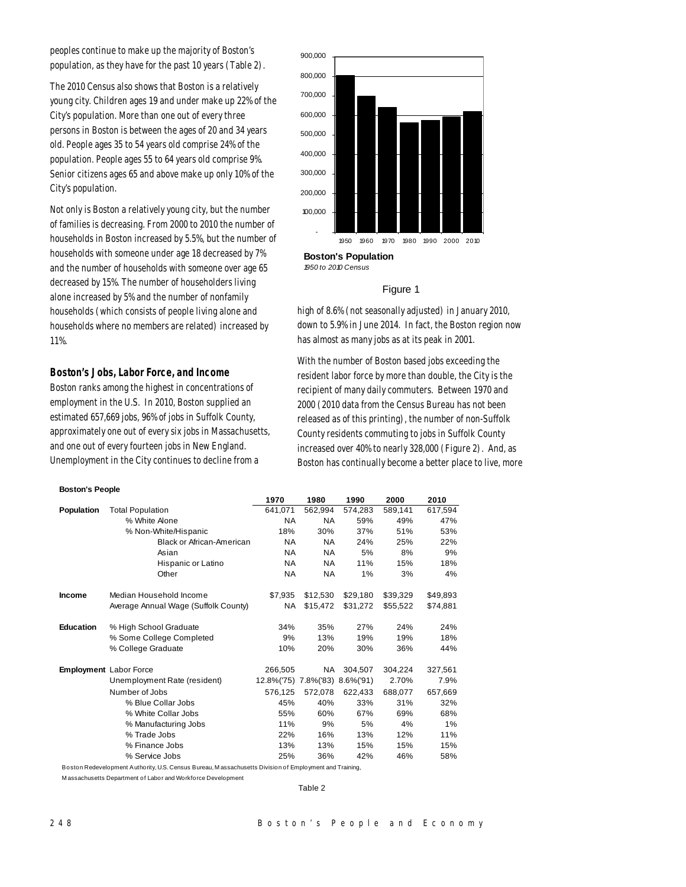peoples continue to make up the majority of Boston's population, as they have for the past 10 years (Table 2).

The 2010 Census also shows that Boston is a relatively young city. Children ages 19 and under make up 22% of the City's population. More than one out of every three persons in Boston is between the ages of 20 and 34 years old. People ages 35 to 54 years old comprise 24% of the population. People ages 55 to 64 years old comprise 9%. Senior citizens ages 65 and above make up only 10% of the City's population.

Not only is Boston a relatively young city, but the number of families is decreasing. From 2000 to 2010 the number of households in Boston increased by 5.5%, but the number of households with someone under age 18 decreased by 7% and the number of households with someone over age 65 decreased by 15%. The number of householders living alone increased by 5% and the number of nonfamily households (which consists of people living alone and households where no members are related) increased by 11%.

# *Boston's Jobs, Labor Force, and Income*

Boston ranks among the highest in concentrations of employment in the U.S. In 2010, Boston supplied an estimated 657,669 jobs, 96% of jobs in Suffolk County, approximately one out of every six jobs in Massachusetts, and one out of every fourteen jobs in New England. Unemployment in the City continues to decline from a

# **Boston's Population** - 100,000 200,000 300,000 400,000 500,000 600,000 700,000 800,000 900,000 1950 1960 1970 1980 1990 2000 2010

*1950 to 2010 Census*

#### Figure 1

high of 8.6% (not seasonally adjusted) in January 2010, down to 5.9% in June 2014. In fact, the Boston region now has almost as many jobs as at its peak in 2001.

With the number of Boston based jobs exceeding the resident labor force by more than double, the City is the recipient of many daily commuters. Between 1970 and 2000 (2010 data from the Census Bureau has not been released as of this printing), the number of non-Suffolk County residents commuting to jobs in Suffolk County increased over 40% to nearly 328,000 (Figure 2). And, as Boston has continually become a better place to live, more

#### **Boston's People**

|                  |                                      | 1970                 | 1980      | 1990          | 2000     | 2010     |
|------------------|--------------------------------------|----------------------|-----------|---------------|----------|----------|
| Population       | <b>Total Population</b>              | 641,071              | 562,994   | 574,283       | 589,141  | 617,594  |
|                  | % White Alone                        | <b>NA</b>            | <b>NA</b> | 59%           | 49%      | 47%      |
|                  | % Non-White/Hispanic                 | 18%                  | 30%       | 37%           | 51%      | 53%      |
|                  | <b>Black or African-American</b>     | <b>NA</b>            | NA.       | 24%           | 25%      | 22%      |
|                  | Asian                                | <b>NA</b>            | <b>NA</b> | 5%            | 8%       | 9%       |
|                  | Hispanic or Latino                   | <b>NA</b>            | NA.       | 11%           | 15%      | 18%      |
|                  | Other                                | <b>NA</b>            | NA        | 1%            | 3%       | 4%       |
| Income           | Median Household Income              | \$7,935              | \$12,530  | \$29,180      | \$39,329 | \$49,893 |
|                  | Average Annual Wage (Suffolk County) | <b>NA</b>            | \$15,472  | \$31,272      | \$55,522 | \$74,881 |
| <b>Education</b> | % High School Graduate               | 34%                  | 35%       | 27%           | 24%      | 24%      |
|                  | % Some College Completed             | 9%                   | 13%       | 19%           | 19%      | 18%      |
|                  | % College Graduate                   | 10%                  | 20%       | 30%           | 36%      | 44%      |
|                  | <b>Employment</b> Labor Force        | 266.505              | NA.       | 304,507       | 304.224  | 327,561  |
|                  | Unemployment Rate (resident)         | 12.8%('75) 7.8%('83) |           | $8.6\%$ ('91) | 2.70%    | 7.9%     |
|                  | Number of Jobs                       | 576,125              | 572,078   | 622,433       | 688,077  | 657,669  |
|                  | % Blue Collar Jobs                   | 45%                  | 40%       | 33%           | 31%      | 32%      |
|                  | % White Collar Jobs                  | 55%                  | 60%       | 67%           | 69%      | 68%      |
|                  | % Manufacturing Jobs                 | 11%                  | 9%        | 5%            | 4%       | 1%       |
|                  | % Trade Jobs                         | 22%                  | 16%       | 13%           | 12%      | 11%      |
|                  | % Finance Jobs                       | 13%                  | 13%       | 15%           | 15%      | 15%      |
|                  | % Service Jobs                       | 25%                  | 36%       | 42%           | 46%      | 58%      |

Boston Redevelopment Authority, U.S. Census Bureau, M assachusetts Division of Employment and Training,

M assachusetts Department of Labor and Workforce Development

Table 2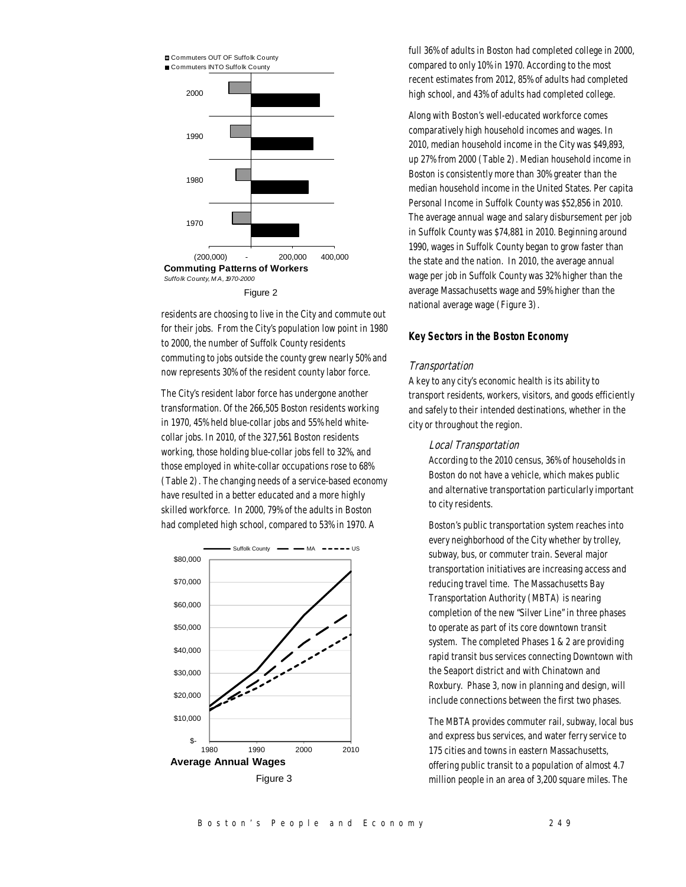

residents are choosing to live in the City and commute out for their jobs. From the City's population low point in 1980 to 2000, the number of Suffolk County residents commuting to jobs outside the county grew nearly 50% and now represents 30% of the resident county labor force.

The City's resident labor force has undergone another transformation. Of the 266,505 Boston residents working in 1970, 45% held blue-collar jobs and 55% held whitecollar jobs. In 2010, of the 327,561 Boston residents working, those holding blue-collar jobs fell to 32%, and those employed in white-collar occupations rose to 68% (Table 2). The changing needs of a service-based economy have resulted in a better educated and a more highly skilled workforce. In 2000, 79% of the adults in Boston had completed high school, compared to 53% in 1970. A



full 36% of adults in Boston had completed college in 2000, compared to only 10% in 1970. According to the most recent estimates from 2012, 85% of adults had completed high school, and 43% of adults had completed college.

Along with Boston's well-educated workforce comes comparatively high household incomes and wages. In 2010, median household income in the City was \$49,893, up 27% from 2000 (Table 2). Median household income in Boston is consistently more than 30% greater than the median household income in the United States. Per capita Personal Income in Suffolk County was \$52,856 in 2010. The average annual wage and salary disbursement per job in Suffolk County was \$74,881 in 2010. Beginning around 1990, wages in Suffolk County began to grow faster than the state and the nation. In 2010, the average annual wage per job in Suffolk County was 32% higher than the average Massachusetts wage and 59% higher than the national average wage (Figure 3).

# *Key Sectors in the Boston Economy*

# **Transportation**

A key to any city's economic health is its ability to transport residents, workers, visitors, and goods efficiently and safely to their intended destinations, whether in the city or throughout the region.

# Local Transportation

According to the 2010 census, 36% of households in Boston do not have a vehicle, which makes public and alternative transportation particularly important to city residents.

Boston's public transportation system reaches into every neighborhood of the City whether by trolley, subway, bus, or commuter train. Several major transportation initiatives are increasing access and reducing travel time. The Massachusetts Bay Transportation Authority (MBTA) is nearing completion of the new "Silver Line" in three phases to operate as part of its core downtown transit system. The completed Phases 1 & 2 are providing rapid transit bus services connecting Downtown with the Seaport district and with Chinatown and Roxbury. Phase 3, now in planning and design, will include connections between the first two phases.

The MBTA provides commuter rail, subway, local bus and express bus services, and water ferry service to 175 cities and towns in eastern Massachusetts, offering public transit to a population of almost 4.7 million people in an area of 3,200 square miles. The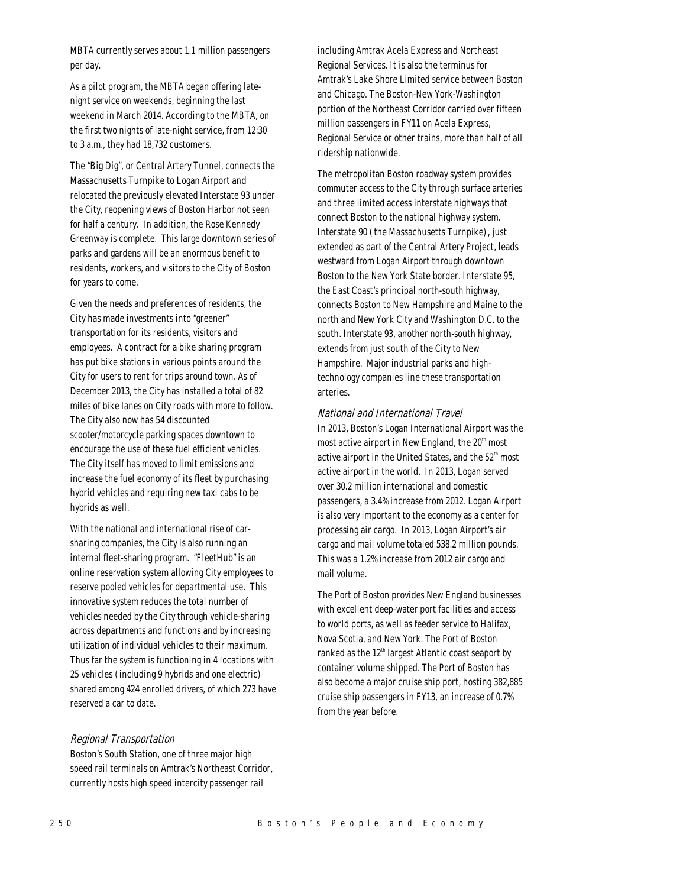MBTA currently serves about 1.1 million passengers per day.

As a pilot program, the MBTA began offering latenight service on weekends, beginning the last weekend in March 2014. According to the MBTA, on the first two nights of late-night service, from 12:30 to 3 a.m., they had 18,732 customers.

The "Big Dig", or Central Artery Tunnel, connects the Massachusetts Turnpike to Logan Airport and relocated the previously elevated Interstate 93 under the City, reopening views of Boston Harbor not seen for half a century. In addition, the Rose Kennedy Greenway is complete. This large downtown series of parks and gardens will be an enormous benefit to residents, workers, and visitors to the City of Boston for years to come.

Given the needs and preferences of residents, the City has made investments into "greener" transportation for its residents, visitors and employees. A contract for a bike sharing program has put bike stations in various points around the City for users to rent for trips around town. As of December 2013, the City has installed a total of 82 miles of bike lanes on City roads with more to follow. The City also now has 54 discounted scooter/motorcycle parking spaces downtown to encourage the use of these fuel efficient vehicles. The City itself has moved to limit emissions and increase the fuel economy of its fleet by purchasing hybrid vehicles and requiring new taxi cabs to be hybrids as well.

With the national and international rise of carsharing companies, the City is also running an internal fleet-sharing program. "FleetHub" is an online reservation system allowing City employees to reserve pooled vehicles for departmental use. This innovative system reduces the total number of vehicles needed by the City through vehicle-sharing across departments and functions and by increasing utilization of individual vehicles to their maximum. Thus far the system is functioning in 4 locations with 25 vehicles (including 9 hybrids and one electric) shared among 424 enrolled drivers, of which 273 have reserved a car to date.

#### Regional Transportation

Boston's South Station, one of three major high speed rail terminals on Amtrak's Northeast Corridor, currently hosts high speed intercity passenger rail

including Amtrak Acela Express and Northeast Regional Services. It is also the terminus for Amtrak's Lake Shore Limited service between Boston and Chicago. The Boston-New York-Washington portion of the Northeast Corridor carried over fifteen million passengers in FY11 on Acela Express, Regional Service or other trains, more than half of all ridership nationwide.

The metropolitan Boston roadway system provides commuter access to the City through surface arteries and three limited access interstate highways that connect Boston to the national highway system. Interstate 90 (the Massachusetts Turnpike), just extended as part of the Central Artery Project, leads westward from Logan Airport through downtown Boston to the New York State border. Interstate 95, the East Coast's principal north-south highway, connects Boston to New Hampshire and Maine to the north and New York City and Washington D.C. to the south. Interstate 93, another north-south highway, extends from just south of the City to New Hampshire. Major industrial parks and hightechnology companies line these transportation arteries.

# National and International Travel

In 2013, Boston's Logan International Airport was the most active airport in New England, the  $20<sup>th</sup>$  most active airport in the United States, and the  $52<sup>th</sup>$  most active airport in the world. In 2013, Logan served over 30.2 million international and domestic passengers, a 3.4% increase from 2012. Logan Airport is also very important to the economy as a center for processing air cargo. In 2013, Logan Airport's air cargo and mail volume totaled 538.2 million pounds. This was a 1.2% increase from 2012 air cargo and mail volume.

The Port of Boston provides New England businesses with excellent deep-water port facilities and access to world ports, as well as feeder service to Halifax, Nova Scotia, and New York. The Port of Boston ranked as the  $12<sup>th</sup>$  largest Atlantic coast seaport by container volume shipped. The Port of Boston has also become a major cruise ship port, hosting 382,885 cruise ship passengers in FY13, an increase of 0.7% from the year before.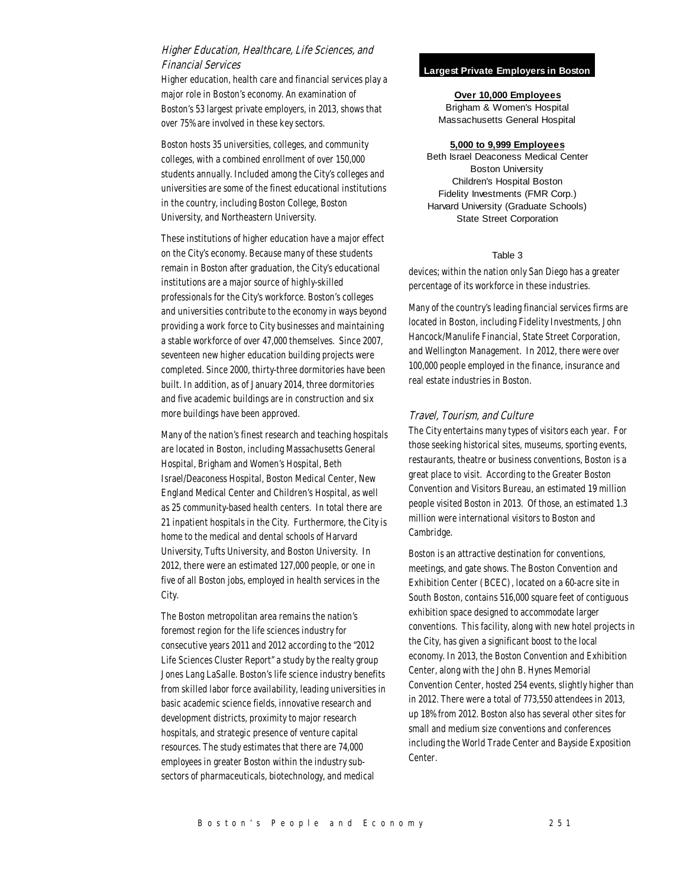# Higher Education, Healthcare, Life Sciences, and Financial Services

Higher education, health care and financial services play a major role in Boston's economy. An examination of Boston's 53 largest private employers, in 2013, shows that over 75% are involved in these key sectors.

Boston hosts 35 universities, colleges, and community colleges, with a combined enrollment of over 150,000 students annually. Included among the City's colleges and universities are some of the finest educational institutions in the country, including Boston College, Boston University, and Northeastern University.

These institutions of higher education have a major effect on the City's economy. Because many of these students remain in Boston after graduation, the City's educational institutions are a major source of highly-skilled professionals for the City's workforce. Boston's colleges and universities contribute to the economy in ways beyond providing a work force to City businesses and maintaining a stable workforce of over 47,000 themselves. Since 2007, seventeen new higher education building projects were completed. Since 2000, thirty-three dormitories have been built. In addition, as of January 2014, three dormitories and five academic buildings are in construction and six more buildings have been approved.

Many of the nation's finest research and teaching hospitals are located in Boston, including Massachusetts General Hospital, Brigham and Women's Hospital, Beth Israel/Deaconess Hospital, Boston Medical Center, New England Medical Center and Children's Hospital, as well as 25 community-based health centers. In total there are 21 inpatient hospitals in the City. Furthermore, the City is home to the medical and dental schools of Harvard University, Tufts University, and Boston University. In 2012, there were an estimated 127,000 people, or one in five of all Boston jobs, employed in health services in the City.

The Boston metropolitan area remains the nation's foremost region for the life sciences industry for consecutive years 2011 and 2012 according to the "2012 Life Sciences Cluster Report" a study by the realty group Jones Lang LaSalle. Boston's life science industry benefits from skilled labor force availability, leading universities in basic academic science fields, innovative research and development districts, proximity to major research hospitals, and strategic presence of venture capital resources. The study estimates that there are 74,000 employees in greater Boston within the industry subsectors of pharmaceuticals, biotechnology, and medical

#### **Largest Private Employers in Boston**

**Over 10,000 Employees** Brigham & Women's Hospital Massachusetts General Hospital

#### **5,000 to 9,999 Employees**

Beth Israel Deaconess Medical Center Boston University Children's Hospital Boston Fidelity Investments (FMR Corp.) Harvard University (Graduate Schools) State Street Corporation

#### Table 3

devices; within the nation only San Diego has a greater percentage of its workforce in these industries.

Many of the country's leading financial services firms are located in Boston, including Fidelity Investments, John Hancock/Manulife Financial, State Street Corporation, and Wellington Management. In 2012, there were over 100,000 people employed in the finance, insurance and real estate industries in Boston.

#### Travel, Tourism, and Culture

The City entertains many types of visitors each year. For those seeking historical sites, museums, sporting events, restaurants, theatre or business conventions, Boston is a great place to visit. According to the Greater Boston Convention and Visitors Bureau, an estimated 19 million people visited Boston in 2013. Of those, an estimated 1.3 million were international visitors to Boston and Cambridge.

Boston is an attractive destination for conventions, meetings, and gate shows. The Boston Convention and Exhibition Center (BCEC), located on a 60-acre site in South Boston, contains 516,000 square feet of contiguous exhibition space designed to accommodate larger conventions. This facility, along with new hotel projects in the City, has given a significant boost to the local economy. In 2013, the Boston Convention and Exhibition Center, along with the John B. Hynes Memorial Convention Center, hosted 254 events, slightly higher than in 2012. There were a total of 773,550 attendees in 2013, up 18% from 2012. Boston also has several other sites for small and medium size conventions and conferences including the World Trade Center and Bayside Exposition Center.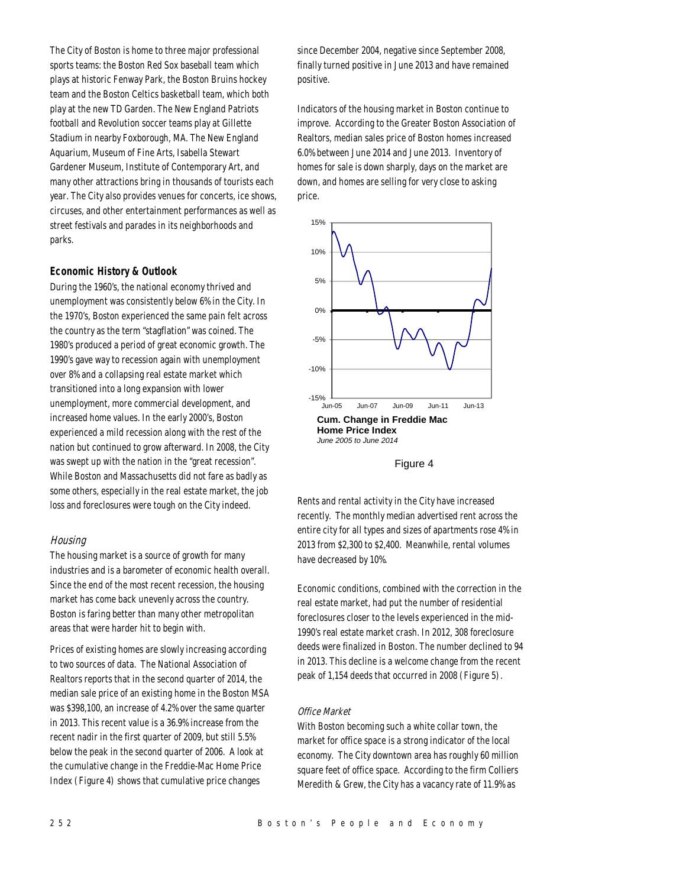The City of Boston is home to three major professional sports teams: the Boston Red Sox baseball team which plays at historic Fenway Park, the Boston Bruins hockey team and the Boston Celtics basketball team, which both play at the new TD Garden. The New England Patriots football and Revolution soccer teams play at Gillette Stadium in nearby Foxborough, MA. The New England Aquarium, Museum of Fine Arts, Isabella Stewart Gardener Museum, Institute of Contemporary Art, and many other attractions bring in thousands of tourists each year. The City also provides venues for concerts, ice shows, circuses, and other entertainment performances as well as street festivals and parades in its neighborhoods and parks.

#### *Economic History & Outlook*

During the 1960's, the national economy thrived and unemployment was consistently below 6% in the City. In the 1970's, Boston experienced the same pain felt across the country as the term "stagflation" was coined. The 1980's produced a period of great economic growth. The 1990's gave way to recession again with unemployment over 8% and a collapsing real estate market which transitioned into a long expansion with lower unemployment, more commercial development, and increased home values. In the early 2000's, Boston experienced a mild recession along with the rest of the nation but continued to grow afterward. In 2008, the City was swept up with the nation in the "great recession". While Boston and Massachusetts did not fare as badly as some others, especially in the real estate market, the job loss and foreclosures were tough on the City indeed.

#### **Housing**

The housing market is a source of growth for many industries and is a barometer of economic health overall. Since the end of the most recent recession, the housing market has come back unevenly across the country. Boston is faring better than many other metropolitan areas that were harder hit to begin with.

Prices of existing homes are slowly increasing according to two sources of data. The National Association of Realtors reports that in the second quarter of 2014, the median sale price of an existing home in the Boston MSA was \$398,100, an increase of 4.2% over the same quarter in 2013. This recent value is a 36.9% increase from the recent nadir in the first quarter of 2009, but still 5.5% below the peak in the second quarter of 2006. A look at the cumulative change in the Freddie-Mac Home Price Index (Figure 4) shows that cumulative price changes

since December 2004, negative since September 2008, finally turned positive in June 2013 and have remained positive.

Indicators of the housing market in Boston continue to improve. According to the Greater Boston Association of Realtors, median sales price of Boston homes increased 6.0% between June 2014 and June 2013. Inventory of homes for sale is down sharply, days on the market are down, and homes are selling for very close to asking price.



Figure 4

Rents and rental activity in the City have increased recently. The monthly median advertised rent across the entire city for all types and sizes of apartments rose 4% in 2013 from \$2,300 to \$2,400. Meanwhile, rental volumes have decreased by 10%.

Economic conditions, combined with the correction in the real estate market, had put the number of residential foreclosures closer to the levels experienced in the mid-1990's real estate market crash. In 2012, 308 foreclosure deeds were finalized in Boston. The number declined to 94 in 2013. This decline is a welcome change from the recent peak of 1,154 deeds that occurred in 2008 (Figure 5).

#### Office Market

With Boston becoming such a white collar town, the market for office space is a strong indicator of the local economy. The City downtown area has roughly 60 million square feet of office space. According to the firm Colliers Meredith & Grew, the City has a vacancy rate of 11.9% as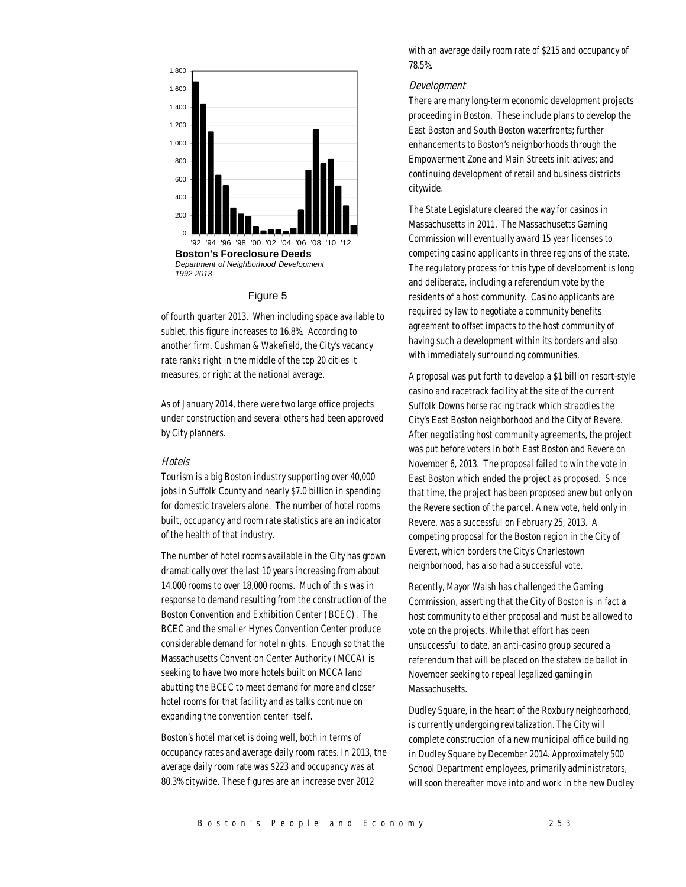

Figure 5

of fourth quarter 2013. When including space available to sublet, this figure increases to 16.8%. According to another firm, Cushman & Wakefield, the City's vacancy rate ranks right in the middle of the top 20 cities it measures, or right at the national average.

As of January 2014, there were two large office projects under construction and several others had been approved by City planners.

# **Hotels**

Tourism is a big Boston industry supporting over 40,000 jobs in Suffolk County and nearly \$7.0 billion in spending for domestic travelers alone. The number of hotel rooms built, occupancy and room rate statistics are an indicator of the health of that industry.

The number of hotel rooms available in the City has grown dramatically over the last 10 years increasing from about 14,000 rooms to over 18,000 rooms. Much of this was in response to demand resulting from the construction of the Boston Convention and Exhibition Center (BCEC). The BCEC and the smaller Hynes Convention Center produce considerable demand for hotel nights. Enough so that the Massachusetts Convention Center Authority (MCCA) is seeking to have two more hotels built on MCCA land abutting the BCEC to meet demand for more and closer hotel rooms for that facility and as talks continue on expanding the convention center itself.

Boston's hotel market is doing well, both in terms of occupancy rates and average daily room rates. In 2013, the average daily room rate was \$223 and occupancy was at 80.3% citywide. These figures are an increase over 2012

with an average daily room rate of \$215 and occupancy of 78.5%.

# Development

There are many long-term economic development projects proceeding in Boston. These include plans to develop the East Boston and South Boston waterfronts; further enhancements to Boston's neighborhoods through the Empowerment Zone and Main Streets initiatives; and continuing development of retail and business districts citywide.

The State Legislature cleared the way for casinos in Massachusetts in 2011. The Massachusetts Gaming Commission will eventually award 15 year licenses to competing casino applicants in three regions of the state. The regulatory process for this type of development is long and deliberate, including a referendum vote by the residents of a host community. Casino applicants are required by law to negotiate a community benefits agreement to offset impacts to the host community of having such a development within its borders and also with immediately surrounding communities.

A proposal was put forth to develop a \$1 billion resort-style casino and racetrack facility at the site of the current Suffolk Downs horse racing track which straddles the City's East Boston neighborhood and the City of Revere. After negotiating host community agreements, the project was put before voters in both East Boston and Revere on November 6, 2013. The proposal failed to win the vote in East Boston which ended the project as proposed. Since that time, the project has been proposed anew but only on the Revere section of the parcel. A new vote, held only in Revere, was a successful on February 25, 2013. A competing proposal for the Boston region in the City of Everett, which borders the City's Charlestown neighborhood, has also had a successful vote.

Recently, Mayor Walsh has challenged the Gaming Commission, asserting that the City of Boston is in fact a host community to either proposal and must be allowed to vote on the projects. While that effort has been unsuccessful to date, an anti-casino group secured a referendum that will be placed on the statewide ballot in November seeking to repeal legalized gaming in Massachusetts.

Dudley Square, in the heart of the Roxbury neighborhood, is currently undergoing revitalization. The City will complete construction of a new municipal office building in Dudley Square by December 2014. Approximately 500 School Department employees, primarily administrators, will soon thereafter move into and work in the new Dudley